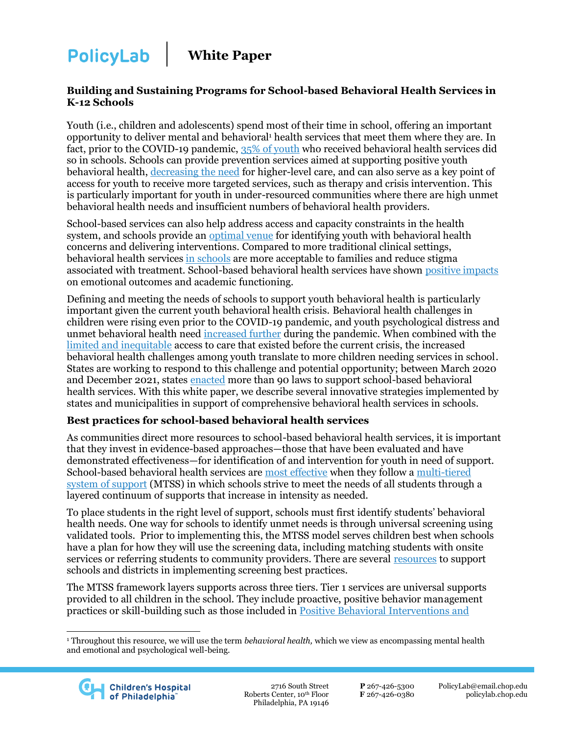**White Paper** 

#### **Building and Sustaining Programs for School-based Behavioral Health Services in K-12 Schools**

Youth (i.e., children and adolescents) spend most of their time in school, offering an important opportunity to deliver mental and behavioral<sup>1</sup> health services that meet them where they are. In fact, prior to the COVID-19 pandemic, [35% of youth](https://pubmed.ncbi.nlm.nih.gov/30883761/) who received behavioral health services did so in schools. Schools can provide prevention services aimed at supporting positive youth behavioral health, [decreasing the need](https://www.nap.edu/catalog/12480/preventing-mental-emotional-and-behavioral-disorders-among-young-people-progress) for higher-level care, and can also serve as a key point of access for youth to receive more targeted services, such as therapy and crisis intervention. This is particularly important for youth in under-resourced communities where there are high unmet behavioral health needs and insufficient numbers of behavioral health providers.

School-based services can also help address access and capacity constraints in the health system, and schools provide an [optimal venue](https://ps.psychiatryonline.org/doi/full/10.1176/appi.ps.201900575) for identifying youth with behavioral health concerns and delivering interventions. Compared to more traditional clinical settings, behavioral health services [in schools](https://www.annualreviews.org/doi/full/10.1146/annurev-clinpsy-032816-045234) are more acceptable to families and reduce stigma associated with treatment. School-based behavioral health services have shown [positive impacts](https://www.sciencedirect.com/science/article/abs/pii/S0890856717319263) on emotional outcomes and academic functioning.

Defining and meeting the needs of schools to support youth behavioral health is particularly important given the current youth behavioral health crisis. Behavioral health challenges in children were rising even prior to the COVID-19 pandemic, and youth psychological distress and unmet behavioral health need [increased further](https://www.hhs.gov/sites/default/files/surgeon-general-youth-mental-health-advisory.pdf) during the pandemic. When combined with the [limited and inequitable](https://mhanational.org/sites/default/files/2022%20State%20of%20Mental%20Health%20in%20America.pdf) access to care that existed before the current crisis, the increased behavioral health challenges among youth translate to more children needing services in school. States are working to respond to this challenge and potential opportunity; between March 2020 and December 2021, states [enacted](https://www.nashp.org/states-take-action-to-address-childrens-mental-health-in-schools/) more than 90 laws to support school-based behavioral health services. With this white paper, we describe several innovative strategies implemented by states and municipalities in support of comprehensive behavioral health services in schools.

### **Best practices for school-based behavioral health services**

As communities direct more resources to school-based behavioral health services, it is important that they invest in evidence-based approaches—those that have been evaluated and have demonstrated effectiveness—for identification of and intervention for youth in need of support. School-based behavioral health services are [most effective](https://www.schoolmentalhealth.org/Resources/Foundations-of-School-Mental-Health/Advancing-Comprehensive-School-Mental-Health-Systems--Guidance-from-the-Field/) when they follow a [multi-tiered](https://www.doe.mass.edu/sfss/mtss/blueprint.pdf)  [system of support](https://www.doe.mass.edu/sfss/mtss/blueprint.pdf) (MTSS) in which schools strive to meet the needs of all students through a layered continuum of supports that increase in intensity as needed.

To place students in the right level of support, schools must first identify students' behavioral health needs. One way for schools to identify unmet needs is through universal screening using validated tools. Prior to implementing this, the MTSS model serves children best when schools have a plan for how they will use the screening data, including matching students with onsite services or referring students to community providers. There are several [resources](https://www.samhsa.gov/sites/default/files/ready_set_go_review_mh_screening_in_schools_508.pdf) to support schools and districts in implementing screening best practices.

The MTSS framework layers supports across three tiers. Tier 1 services are universal supports provided to all children in the school. They include proactive, positive behavior management practices or skill-building such as those included i[n Positive Behavioral Interventions and](https://www.pbis.org/) 

<sup>1</sup> Throughout this resource, we will use the term *behavioral health,* which we view as encompassing mental health and emotional and psychological well-being.

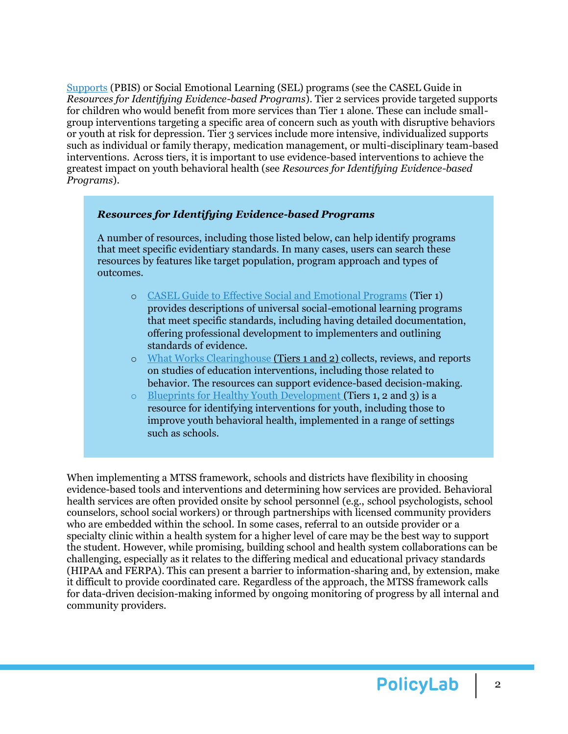[Supports](https://www.pbis.org/) (PBIS) or Social Emotional Learning (SEL) programs (see the CASEL Guide in *Resources for Identifying Evidence-based Programs*). Tier 2 services provide targeted supports for children who would benefit from more services than Tier 1 alone. These can include smallgroup interventions targeting a specific area of concern such as youth with disruptive behaviors or youth at risk for depression. Tier 3 services include more intensive, individualized supports such as individual or family therapy, medication management, or multi-disciplinary team-based interventions. Across tiers, it is important to use evidence-based interventions to achieve the greatest impact on youth behavioral health (see *Resources for Identifying Evidence-based Programs*).

#### *Resources for Identifying Evidence-based Programs*

A number of resources, including those listed below, can help identify programs that meet specific evidentiary standards. In many cases, users can search these resources by features like target population, program approach and types of outcomes.

- o [CASEL Guide to Effective Social and Emotional Programs](https://pg.casel.org/) (Tier 1) provides descriptions of universal social-emotional learning programs that meet specific standards, including having detailed documentation, offering professional development to implementers and outlining standards of evidence.
- o [What Works Clearinghouse](https://ies.ed.gov/ncee/wwc/FWW/Results?filters=,Behavior) (Tiers 1 and 2) collects, reviews, and reports on studies of education interventions, including those related to behavior. The resources can support evidence-based decision-making.
- o [Blueprints for Healthy Youth Development](https://www.blueprintsprograms.org/) (Tiers 1, 2 and 3) is a resource for identifying interventions for youth, including those to improve youth behavioral health, implemented in a range of settings such as schools.

When implementing a MTSS framework, schools and districts have flexibility in choosing evidence-based tools and interventions and determining how services are provided. Behavioral health services are often provided onsite by school personnel (e.g., school psychologists, school counselors, school social workers) or through partnerships with licensed community providers who are embedded within the school. In some cases, referral to an outside provider or a specialty clinic within a health system for a higher level of care may be the best way to support the student. However, while promising, building school and health system collaborations can be challenging, especially as it relates to the differing medical and educational privacy standards (HIPAA and FERPA). This can present a barrier to information-sharing and, by extension, make it difficult to provide coordinated care. Regardless of the approach, the MTSS framework calls for data-driven decision-making informed by ongoing monitoring of progress by all internal and community providers.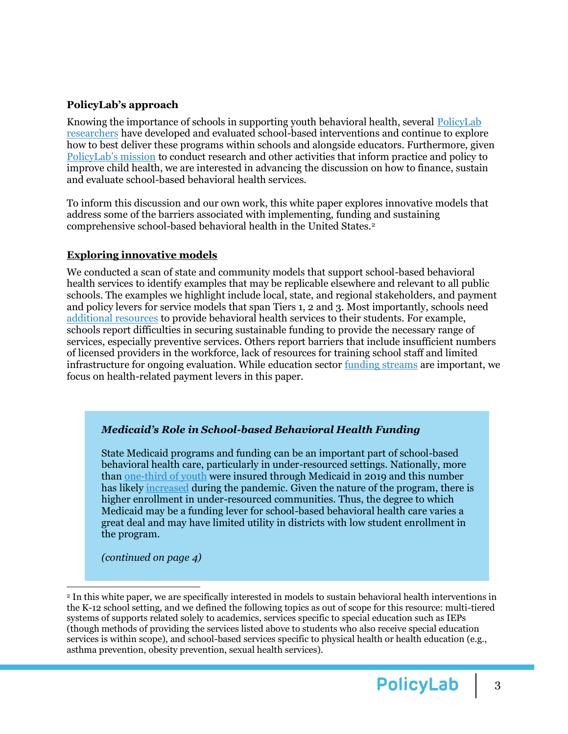## **PolicyLab's approach**

Knowing the importance of schools in supporting youth behavioral health, several [PolicyLab](https://policylab.chop.edu/our-research/behavioral-health)  [researchers](https://policylab.chop.edu/our-research/behavioral-health) have developed and evaluated school-based interventions and continue to explore how to best deliver these programs within schools and alongside educators. Furthermore, given [PolicyLab's mission](https://policylab.chop.edu/about-us) to conduct research and other activities that inform practice and policy to improve child health, we are interested in advancing the discussion on how to finance, sustain and evaluate school-based behavioral health services.

To inform this discussion and our own work, this white paper explores innovative models that address some of the barriers associated with implementing, funding and sustaining comprehensive school-based behavioral health in the United States.<sup>2</sup>

# **Exploring innovative models**

We conducted a scan of state and community models that support school-based behavioral health services to identify examples that may be replicable elsewhere and relevant to all public schools. The examples we highlight include local, state, and regional stakeholders, and payment and policy levers for service models that span Tiers 1, 2 and 3. Most importantly, schools need [additional resources](https://nces.ed.gov/programs/crimeindicators/ind_s01.asp) to provide behavioral health services to their students. For example, schools report difficulties in securing sustainable funding to provide the necessary range of services, especially preventive services. Others report barriers that include insufficient numbers of licensed providers in the workforce, lack of resources for training school staff and limited infrastructure for ongoing evaluation. While education sector [funding](https://www.ecs.org/state-funding-for-student-mental-health/) streams are important, we focus on health-related payment levers in this paper.

### *Medicaid's Role in School-based Behavioral Health Funding*

State Medicaid programs and funding can be an important part of school-based behavioral health care, particularly in under-resourced settings. Nationally, more than [one-third of youth](https://www.kff.org/other/state-indicator/children-0-18/?currentTimeframe=0&sortModel=%7B%22colId%22:%22Other%20Public%22,%22sort%22:%22asc%22%7D) were insured through Medicaid in 2019 and this number has likely [increased](https://www.kff.org/coronavirus-covid-19/issue-brief/analysis-of-recent-national-trends-in-medicaid-and-chip-enrollment/#:~:text=Data%20show%20that%20Medicaid%2FCHIP,48.7%25%20(Figure%202).) during the pandemic. Given the nature of the program, there is higher enrollment in under-resourced communities. Thus, the degree to which Medicaid may be a funding lever for school-based behavioral health care varies a great deal and may have limited utility in districts with low student enrollment in the program.

*(continued on page 4)*

<sup>2</sup> In this white paper, we are specifically interested in models to sustain behavioral health interventions in the K-12 school setting, and we defined the following topics as out of scope for this resource: multi-tiered systems of supports related solely to academics, services specific to special education such as IEPs (though methods of providing the services listed above to students who also receive special education services is within scope), and school-based services specific to physical health or health education (e.g., asthma prevention, obesity prevention, sexual health services).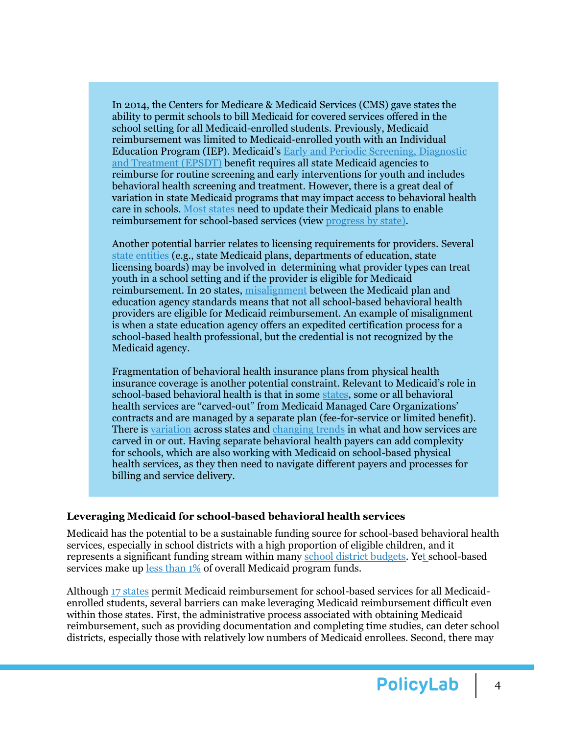In 2014, the Centers for Medicare & Medicaid Services (CMS) gave states the ability to permit schools to bill Medicaid for covered services offered in the school setting for all Medicaid-enrolled students. Previously, Medicaid reimbursement was limited to Medicaid-enrolled youth with an Individual Education Program (IEP). Medicaid's [Early and Periodic Screening, Diagnostic](https://www.medicaid.gov/medicaid/benefits/early-and-periodic-screening-diagnostic-and-treatment/index.html)  [and Treatment \(EPSDT\)](https://www.medicaid.gov/medicaid/benefits/early-and-periodic-screening-diagnostic-and-treatment/index.html) benefit requires all state Medicaid agencies to reimburse for routine screening and early interventions for youth and includes behavioral health screening and treatment. However, there is a great deal of variation in state Medicaid programs that may impact access to behavioral health care in schools[. Most states](https://www.childtrends.org/publications/early-evidence-medicaid-role-school-based-heath-services) need to update their Medicaid plans to enable reimbursement for school-based services (view [progress by state\)](https://healthystudentspromisingfutures.org/map-school-medicaid-programs/).

Another potential barrier relates to licensing requirements for providers. Several [state entities \(](https://healthyschoolscampaign.org/dev/wp-content/uploads/2019/12/A-Guide-to-Expanding-Medicaid-Funded-School-Health-Services-1-22-20.pdf)e.g., state Medicaid plans, departments of education, state licensing boards) may be involved in determining what provider types can treat youth in a school setting and if the provider is eligible for Medicaid reimbursement. In 20 states, [misalignment](https://healthystudentspromisingfutures.org/wp-content/uploads/2021/11/State-Medicaid-Education-Standards-for-School-Health-Personnel.pdf) between the Medicaid plan and education agency standards means that not all school-based behavioral health providers are eligible for Medicaid reimbursement. An example of misalignment is when a state education agency offers an expedited certification process for a school-based health professional, but the credential is not recognized by the Medicaid agency.

Fragmentation of behavioral health insurance plans from physical health insurance coverage is another potential constraint. Relevant to Medicaid's role in school-based behavioral health is that in some [states,](https://www.kff.org/report-section/state-policies-expanding-access-to-behavioral-health-care-in-medicaid-appendices/) some or all behavioral health services are "carved-out" from Medicaid Managed Care Organizations' contracts and are managed by a separate plan (fee-for-service or limited benefit). There is [variation](https://www.kff.org/medicaid/issue-brief/state-policies-expanding-access-to-behavioral-health-care-in-medicaid/) across states an[d changing trends](https://www.ohsu.edu/sites/default/files/2021-05/McConnell%20et%20al.%20Financial%20Integration%20of%20Behavioral%20Health%20in%20Medicaid.pdf) in what and how services are carved in or out. Having separate behavioral health payers can add complexity for schools, which are also working with Medicaid on school-based physical health services, as they then need to navigate different payers and processes for billing and service delivery.

### **Leveraging Medicaid for school-based behavioral health services**

Medicaid has the potential to be a sustainable funding source for school-based behavioral health services, especially in school districts with a high proportion of eligible children, and it represents a significant funding stream within many [school district budgets.](https://www.aasa.org/uploadedFiles/Policy_and_Advocacy/Resources/AASA_Medicaid_Report_FINAL.pdf) Yet school-based services make up [less than 1%](https://www.macpac.gov/wp-content/uploads/2018/04/Medicaid-in-Schools.pdf) of overall Medicaid program funds.

Althoug[h 17 states](https://healthystudentspromisingfutures.org/map-school-medicaid-programs/) permit Medicaid reimbursement for school-based services for all Medicaidenrolled students, several barriers can make leveraging Medicaid reimbursement difficult even within those states. First, the administrative process associated with obtaining Medicaid reimbursement, such as providing documentation and completing time studies, can deter school districts, especially those with relatively low numbers of Medicaid enrollees. Second, there may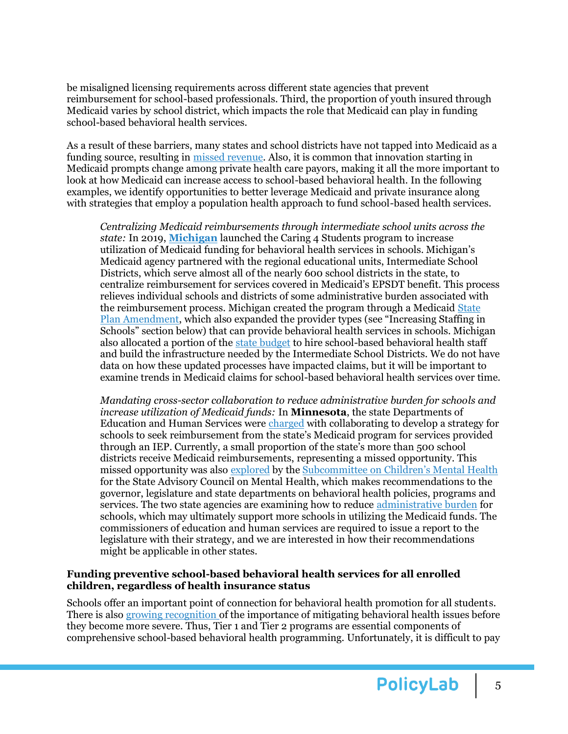be misaligned licensing requirements across different state agencies that prevent reimbursement for school-based professionals. Third, the proportion of youth insured through Medicaid varies by school district, which impacts the role that Medicaid can play in funding school-based behavioral health services.

As a result of these barriers, many states and school districts have not tapped into Medicaid as a funding source, resulting in [missed revenue.](https://healthyschoolscampaign.org/dev/wp-content/uploads/2020/02/Policy-Brief-1-28-20.pdf) Also, it is common that innovation starting in Medicaid prompts change among private health care payors, making it all the more important to look at how Medicaid can increase access to school-based behavioral health. In the following examples, we identify opportunities to better leverage Medicaid and private insurance along with strategies that employ a population health approach to fund school-based health services.

*Centralizing Medicaid reimbursements through intermediate school units across the state:* In 2019, **[Michigan](https://www.nashp.org/michigans-caring-for-students-program-leverages-medicaid-funding-to-expand-school-behavioral-health-services/)** launched the Caring 4 Students program to increase utilization of Medicaid funding for behavioral health services in schools. Michigan's Medicaid agency partnered with the regional educational units, Intermediate School Districts, which serve almost all of the nearly 600 school districts in the state, to centralize reimbursement for services covered in Medicaid's EPSDT benefit. This process relieves individual schools and districts of some administrative burden associated with the reimbursement process. Michigan created the program through a Medicaid [State](https://www.medicaid.gov/sites/default/files/State-resource-center/Medicaid-State-Plan-Amendments/Downloads/MI/MI-18-0013.pdf)  [Plan Amendment](https://www.medicaid.gov/sites/default/files/State-resource-center/Medicaid-State-Plan-Amendments/Downloads/MI/MI-18-0013.pdf), which also expanded the provider types (see "Increasing Staffing in Schools" section below) that can provide behavioral health services in schools. Michigan also allocated a portion of the [state budget](http://www.legislature.mi.gov/documents/2017-2018/billanalysis/House/pdf/2017-HLA-0149-61926B12.pdf) to hire school-based behavioral health staff and build the infrastructure needed by the Intermediate School Districts. We do not have data on how these updated processes have impacted claims, but it will be important to examine trends in Medicaid claims for school-based behavioral health services over time.

*Mandating cross-sector collaboration to reduce administrative burden for schools and increase utilization of Medicaid funds:* In **Minnesota**, the state Departments of Education and Human Services were [charged](https://www.lrl.mn.gov/mndocs/mandates_detail?orderid=16894) with collaborating to develop a strategy for schools to seek reimbursement from the state's Medicaid program for services provided through an IEP. Currently, a small proportion of the state's more than 500 school districts receive Medicaid reimbursements, representing a missed opportunity. This missed opportunity was also [explored](https://mn.gov/dhs/assets/september-meeting-presentation_tcm1053-501936.pdf) by the [Subcommittee on Children's Mental Health](https://mn.gov/dhs/mh-advisory-council/) for the State Advisory Council on Mental Health, which makes recommendations to the governor, legislature and state departments on behavioral health policies, programs and services. The two state agencies are examining how to reduce [administrative burden](https://mn.gov/dhs/assets/september-meeting-presentation_tcm1053-501936.pdf) for schools, which may ultimately support more schools in utilizing the Medicaid funds. The commissioners of education and human services are required to issue a report to the legislature with their strategy, and we are interested in how their recommendations might be applicable in other states.

### **Funding preventive school-based behavioral health services for all enrolled children, regardless of health insurance status**

Schools offer an important point of connection for behavioral health promotion for all students. There is als[o growing recognition](https://nam10.safelinks.protection.outlook.com/?url=https%3A%2F%2Fwww.hhs.gov%2Fsites%2Fdefault%2Ffiles%2Fsurgeon-general-youth-mental-health-advisory.pdf&data=04%7C01%7Cpennottir%40chop.edu%7Ca925d90f9b764ace73ca08da1417cfd7%7Ca611241607b041a59bb1d146b575c975%7C0%7C0%7C637844389743165851%7CUnknown%7CTWFpbGZsb3d8eyJWIjoiMC4wLjAwMDAiLCJQIjoiV2luMzIiLCJBTiI6Ik1haWwiLCJXVCI6Mn0%3D%7C3000&sdata=vjxPddLrU04%2F9Lz9B8Djb2FgvkUHEGYEQaT42XUnwmw%3D&reserved=0) of the importance of mitigating behavioral health issues before they become more severe. Thus, Tier 1 and Tier 2 programs are essential components of comprehensive school-based behavioral health programming. Unfortunately, it is difficult to pay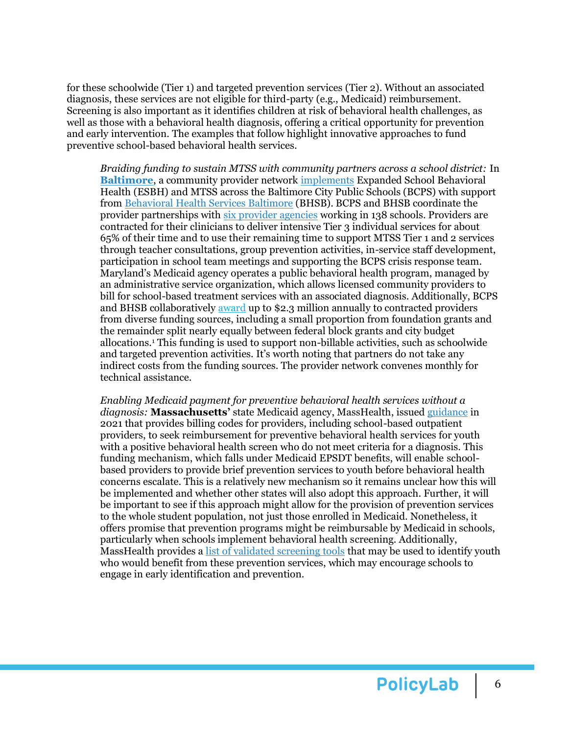for these schoolwide (Tier 1) and targeted prevention services (Tier 2). Without an associated diagnosis, these services are not eligible for third-party (e.g., Medicaid) reimbursement. Screening is also important as it identifies children at risk of behavioral health challenges, as well as those with a behavioral health diagnosis, offering a critical opportunity for prevention and early intervention. The examples that follow highlight innovative approaches to fund preventive school-based behavioral health services.

*Braiding funding to sustain MTSS with community partners across a school district:* In **[Baltimore](http://www.bhsbaltimore.org/find-help/youth-and-families)**, a community provider network [implements](https://journals.sagepub.com/doi/abs/10.1177/0145445503259501) Expanded School Behavioral Health (ESBH) and MTSS across the Baltimore City Public Schools (BCPS) with support from [Behavioral Health Services Baltimore](https://www.bhsbaltimore.org/) (BHSB). BCPS and BHSB coordinate the provider partnerships with [six provider agencies](https://www.bhsbaltimore.org/wp-content/uploads/2021/09/SY21-22-Fully-Updated-Directory-9.15.21.pdf) working in 138 schools. Providers are contracted for their clinicians to deliver intensive Tier 3 individual services for about 65% of their time and to use their remaining time to support MTSS Tier 1 and 2 services through teacher consultations, group prevention activities, in-service staff development, participation in school team meetings and supporting the BCPS crisis response team. Maryland's Medicaid agency operates a public behavioral health program, managed by an administrative service organization, which allows licensed community providers to bill for school-based treatment services with an associated diagnosis. Additionally, BCPS and BHSB collaboratively [award](https://www.bhsbaltimore.org/wp-content/uploads/2022/01/School-Based-SUD-RFP.pdf) up to \$2.3 million annually to contracted providers from diverse funding sources, including a small proportion from foundation grants and the remainder split nearly equally between federal block grants and city budget allocations.<sup>1</sup> This funding is used to support non-billable activities, such as schoolwide and targeted prevention activities. It's worth noting that partners do not take any indirect costs from the funding sources. The provider network convenes monthly for technical assistance.

*Enabling Medicaid payment for preventive behavioral health services without a diagnosis:* **Massachusetts'** state Medicaid agency, MassHealth, issue[d guidance](https://www.mass.gov/doc/managed-care-entity-bulletin-65-preventive-behavioral-health-services-for-members-younger-than-21-0/download) in 2021 that provides billing codes for providers, including school-based outpatient providers, to seek reimbursement for preventive behavioral health services for youth with a positive behavioral health screen who do not meet criteria for a diagnosis. This funding mechanism, which falls under Medicaid EPSDT benefits, will enable schoolbased providers to provide brief prevention services to youth before behavioral health concerns escalate. This is a relatively new mechanism so it remains unclear how this will be implemented and whether other states will also adopt this approach. Further, it will be important to see if this approach might allow for the provision of prevention services to the whole student population, not just those enrolled in Medicaid. Nonetheless, it offers promise that prevention programs might be reimbursable by Medicaid in schools, particularly when schools implement behavioral health screening. Additionally, MassHealth provides [a list of validated screening tools](https://www.mass.gov/info-details/learn-about-the-approved-masshealth-screening-tools) that may be used to identify youth who would benefit from these prevention services, which may encourage schools to engage in early identification and prevention.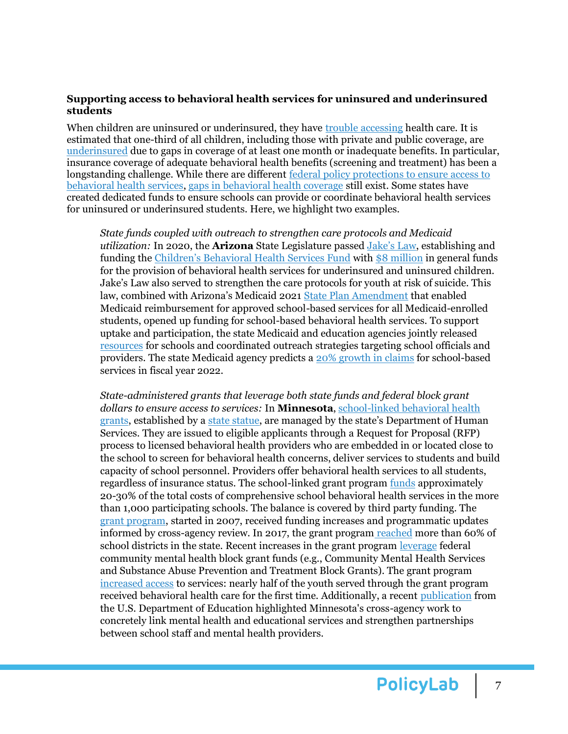### **Supporting access to behavioral health services for uninsured and underinsured students**

When children are uninsured or underinsured, they have trouble [accessing](https://ccf.georgetown.edu/2021/11/22/gaps-in-coverage-a-look-at-child-health-insurance-trends/) health care. It is estimated that one-third of all children, including those with private and public coverage, are [underinsured](https://publications.aap.org/pediatrics/article/149/1/e2021050353/183780/Underinsurance-Among-Children-in-the-United-States) due to gaps in coverage of at least one month or inadequate benefits. In particular, insurance coverage of adequate behavioral health benefits (screening and treatment) has been a longstanding challenge. While there are different [federal policy](https://www.ajpmonline.org/article/S0749-3797(21)00598-5/fulltext#%20) protections to ensure access to behavioral health services, [gaps in behavioral health coverage](https://wellbeingtrust.org/wp-content/uploads/2020/12/Coverage-of-Services-to-Promote-Childrens-Mental-Health.pdf) still exist. Some states have created dedicated funds to ensure schools can provide or coordinate behavioral health services for uninsured or underinsured students. Here, we highlight two examples.

*State funds coupled with outreach to strengthen care protocols and Medicaid utilization:* In 2020, the **Arizona** State Legislature passed [Jake's Law](https://difi.az.gov/jakes-law), establishing and funding the [Children's Behavioral Health Services Fund](https://www.azahcccs.gov/AHCCCS/Downloads/Initiatives/BehavioralHealthServices/ChildrensBHS_FundFlier.pdf) with [\\$8 million](https://www.azleg.gov/legtext/54leg/2R/bills/SB1523S.pdf) in general funds for the provision of behavioral health services for underinsured and uninsured children. Jake's Law also served to strengthen the care protocols for youth at risk of suicide. This law, combined with Arizona's Medicaid 2021 [State Plan Amendment](https://www.azahcccs.gov/Resources/Downloads/MedicaidStatePlan/Amendments/2021/AZ-21-0005_ApprovalPackage.pdf) that enabled Medicaid reimbursement for approved school-based services for all Medicaid-enrolled students, opened up funding for school-based behavioral health services. To support uptake and participation, the state Medicaid and education agencies jointly released [resources](https://www.azahcccs.gov/AHCCCS/Downloads/Initiatives/BehavioralHealthServices/100104-ADOE-SBRG.pdf) for schools and coordinated outreach strategies targeting school officials and providers. The state Medicaid agency predicts a [20% growth in claims](https://www.azahcccs.gov/PlansProviders/FeeForServiceHealthPlans/ProgramsAndPopulations/thirdpartyaccounts/SBC.html) for school-based services in fiscal year 2022.

*State-administered grants that leverage both state funds and federal block grant dollars to ensure access to services:* In **Minnesota**[, school-linked behavioral health](https://nam10.safelinks.protection.outlook.com/?url=https%3A%2F%2Fmn.gov%2Fdhs%2Fpartners-and-providers%2Fpolicies-procedures%2Fchildrens-mental-health%2Fschool-linked-mh-services%2F&data=04%7C01%7Cpennottir%40chop.edu%7C09d63291a777446a62a308da1e408f48%7Ca611241607b041a59bb1d146b575c975%7C0%7C0%7C637855560013832270%7CUnknown%7CTWFpbGZsb3d8eyJWIjoiMC4wLjAwMDAiLCJQIjoiV2luMzIiLCJBTiI6Ik1haWwiLCJXVCI6Mn0%3D%7C3000&sdata=sYV1SXsCDhzTifXqCu%2BUKLg4L7aasareKMtZItKJKC8%3D&reserved=0)  [grants,](https://nam10.safelinks.protection.outlook.com/?url=https%3A%2F%2Fmn.gov%2Fdhs%2Fpartners-and-providers%2Fpolicies-procedures%2Fchildrens-mental-health%2Fschool-linked-mh-services%2F&data=04%7C01%7Cpennottir%40chop.edu%7C09d63291a777446a62a308da1e408f48%7Ca611241607b041a59bb1d146b575c975%7C0%7C0%7C637855560013832270%7CUnknown%7CTWFpbGZsb3d8eyJWIjoiMC4wLjAwMDAiLCJQIjoiV2luMzIiLCJBTiI6Ik1haWwiLCJXVCI6Mn0%3D%7C3000&sdata=sYV1SXsCDhzTifXqCu%2BUKLg4L7aasareKMtZItKJKC8%3D&reserved=0) established by a [state statue,](https://nam10.safelinks.protection.outlook.com/?url=https%3A%2F%2Fwww.revisor.mn.gov%2Fstatutes%2Fcite%2F245.4901&data=04%7C01%7Cpennottir%40chop.edu%7C09d63291a777446a62a308da1e408f48%7Ca611241607b041a59bb1d146b575c975%7C0%7C0%7C637855560013832270%7CUnknown%7CTWFpbGZsb3d8eyJWIjoiMC4wLjAwMDAiLCJQIjoiV2luMzIiLCJBTiI6Ik1haWwiLCJXVCI6Mn0%3D%7C3000&sdata=ohOeUZjWaHes56It7HUJHoSVVeVh9zMhH%2F9nxA68noU%3D&reserved=0) are managed by the state's Department of Human Services. They are issued to eligible applicants through a Request for Proposal (RFP) process to licensed behavioral health providers who are embedded in or located close to the school to screen for behavioral health concerns, deliver services to students and build capacity of school personnel. Providers offer behavioral health services to all students, regardless of insurance status. The school-linked grant program [funds](https://nam10.safelinks.protection.outlook.com/?url=https%3A%2F%2Fwww.leg.mn.gov%2Fdocs%2F2020%2Fmandated%2F200271.pdf&data=04%7C01%7Cpennottir%40chop.edu%7C09d63291a777446a62a308da1e408f48%7Ca611241607b041a59bb1d146b575c975%7C0%7C0%7C637855560013832270%7CUnknown%7CTWFpbGZsb3d8eyJWIjoiMC4wLjAwMDAiLCJQIjoiV2luMzIiLCJBTiI6Ik1haWwiLCJXVCI6Mn0%3D%7C3000&sdata=fx2FLYaGe%2BRAj03piKs2aWtlG1Hq3Hucdzmnk7HrBko%3D&reserved=0) approximately 20-30% of the total costs of comprehensive school behavioral health services in the more than 1,000 participating schools. The balance is covered by third party funding. The [grant program,](https://nam10.safelinks.protection.outlook.com/?url=https%3A%2F%2Fwww.house.leg.state.mn.us%2Fsessiondaily%2FSDView.aspx%3FStoryID%3D12566&data=04%7C01%7Cpennottir%40chop.edu%7C09d63291a777446a62a308da1e408f48%7Ca611241607b041a59bb1d146b575c975%7C0%7C0%7C637855560013832270%7CUnknown%7CTWFpbGZsb3d8eyJWIjoiMC4wLjAwMDAiLCJQIjoiV2luMzIiLCJBTiI6Ik1haWwiLCJXVCI6Mn0%3D%7C3000&sdata=d1CKilUJZ69u%2Bz4kicsW7wRAbWJxHPGAMyzszNQJpJ4%3D&reserved=0) started in 2007, received funding increases and programmatic updates informed by cross-agency review. In 2017, the grant program [reached](https://nam10.safelinks.protection.outlook.com/?url=https%3A%2F%2Fwww.lrl.mn.gov%2Fdocs%2F2021%2Fmandated%2F210330.pdf&data=04%7C01%7Cpennottir%40chop.edu%7C09d63291a777446a62a308da1e408f48%7Ca611241607b041a59bb1d146b575c975%7C0%7C0%7C637855560013832270%7CUnknown%7CTWFpbGZsb3d8eyJWIjoiMC4wLjAwMDAiLCJQIjoiV2luMzIiLCJBTiI6Ik1haWwiLCJXVCI6Mn0%3D%7C3000&sdata=ncPYCGXeKrjB8eD8YlBH4BGiZ4%2FLMPcJIfxbrlc5qwA%3D&reserved=0) more than 60% of school districts in the state. Recent increases in the grant program [leverage](https://nam10.safelinks.protection.outlook.com/?url=https%3A%2F%2Fmn.gov%2Fdhs%2Fassets%2Fbh-special-session-legislative-summary-21_tcm1053-494594.pdf&data=04%7C01%7Cpennottir%40chop.edu%7C09d63291a777446a62a308da1e408f48%7Ca611241607b041a59bb1d146b575c975%7C0%7C0%7C637855560013832270%7CUnknown%7CTWFpbGZsb3d8eyJWIjoiMC4wLjAwMDAiLCJQIjoiV2luMzIiLCJBTiI6Ik1haWwiLCJXVCI6Mn0%3D%7C3000&sdata=CiBSyFddquC%2FkszqLXVLDZSBSQAl71n3n1PRzVUVPdk%3D&reserved=0) federal community mental health block grant funds (e.g., Community Mental Health Services and Substance Abuse Prevention and Treatment Block Grants). The grant program [increased access](https://nam10.safelinks.protection.outlook.com/?url=https%3A%2F%2Fmhanational.org%2Fsites%2Fdefault%2Ffiles%2FFINAL%2520MHA%2520Report%2520-%2520Addressing%2520Youth%2520Mental%2520Health%2520Crisis%2520-%2520July%25202021.pdf&data=04%7C01%7Cpennottir%40chop.edu%7C09d63291a777446a62a308da1e408f48%7Ca611241607b041a59bb1d146b575c975%7C0%7C0%7C637855560013832270%7CUnknown%7CTWFpbGZsb3d8eyJWIjoiMC4wLjAwMDAiLCJQIjoiV2luMzIiLCJBTiI6Ik1haWwiLCJXVCI6Mn0%3D%7C3000&sdata=xvJRcqDnwY2vTCdZKJOwt0ixRsbSH0etdhXS6gOfeXQ%3D&reserved=0) to services: nearly half of the youth served through the grant program received behavioral health care for the first time. Additionally, a recent [publication](https://www2.ed.gov/documents/students/supporting-child-student-social-emotional-behavioral-mental-health.pdf) from the U.S. Department of Education highlighted Minnesota's cross-agency work to concretely link mental health and educational services and strengthen partnerships between school staff and mental health providers.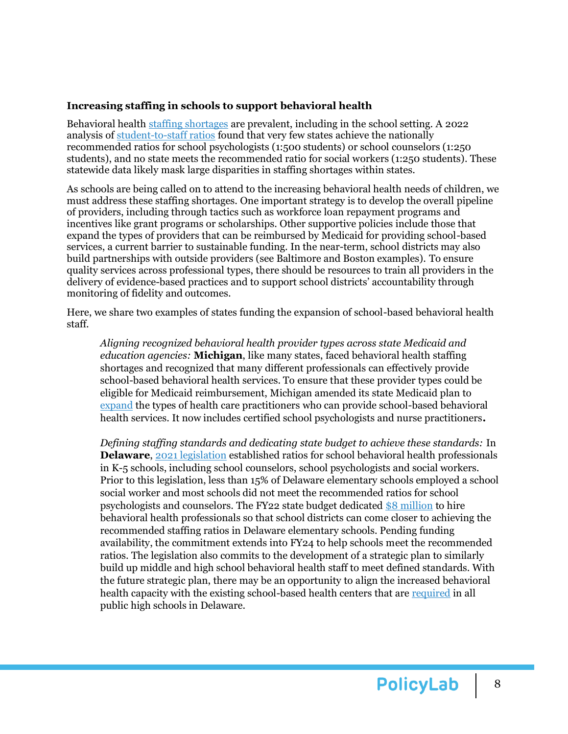## **Increasing staffing in schools to support behavioral health**

Behavioral health [staffing shortages](https://data.hrsa.gov/topics/health-workforce/shortage-areas) are prevalent, including in the school setting. A 2022 analysis o[f student-to-staff ratios](https://hopefulfutures.us/wp-content/uploads/2022/02/Ratios.pdf) found that very few states achieve the nationally recommended ratios for school psychologists (1:500 students) or school counselors (1:250 students), and no state meets the recommended ratio for social workers (1:250 students). These statewide data likely mask large disparities in staffing shortages within states.

As schools are being called on to attend to the increasing behavioral health needs of children, we must address these staffing shortages. One important strategy is to develop the overall pipeline of providers, including through tactics such as workforce loan repayment programs and incentives like grant programs or scholarships. Other supportive policies include those that expand the types of providers that can be reimbursed by Medicaid for providing school-based services, a current barrier to sustainable funding. In the near-term, school districts may also build partnerships with outside providers (see Baltimore and Boston examples). To ensure quality services across professional types, there should be resources to train all providers in the delivery of evidence-based practices and to support school districts' accountability through monitoring of fidelity and outcomes.

Here, we share two examples of states funding the expansion of school-based behavioral health staff.

*Aligning recognized behavioral health provider types across state Medicaid and education agencies:* **Michigan**, like many states, faced behavioral health staffing shortages and recognized that many different professionals can effectively provide school-based behavioral health services. To ensure that these provider types could be eligible for Medicaid reimbursement, Michigan amended its state Medicaid plan to [expand](https://www.nashp.org/michigans-caring-for-students-program-leverages-medicaid-funding-to-expand-school-behavioral-health-services/) the types of health care practitioners who can provide school-based behavioral health services. It now includes certified school psychologists and nurse practitioners**.** 

*Defining staffing standards and dedicating state budget to achieve these standards:* In **Delaware**, [2021 legislation](https://legis.delaware.gov/BillDetail/47233) established ratios for school behavioral health professionals in K-5 schools, including school counselors, school psychologists and social workers. Prior to this legislation, less than 15% of Delaware elementary schools employed a school social worker and most schools did not meet the recommended ratios for school psychologists and counselors. The FY22 state budget dedicated [\\$8 million](https://news.delaware.gov/2021/08/19/governor-carney-signs-house-bill-100/) to hire behavioral health professionals so that school districts can come closer to achieving the recommended staffing ratios in Delaware elementary schools. Pending funding availability, the commitment extends into FY24 to help schools meet the recommended ratios. The legislation also commits to the development of a strategic plan to similarly build up middle and high school behavioral health staff to meet defined standards. With the future strategic plan, there may be an opportunity to align the increased behavioral health capacity with the existing school-based health centers that are [required](https://legis.delaware.gov/SessionLaws/Chapter?id=15880) in all public high schools in Delaware.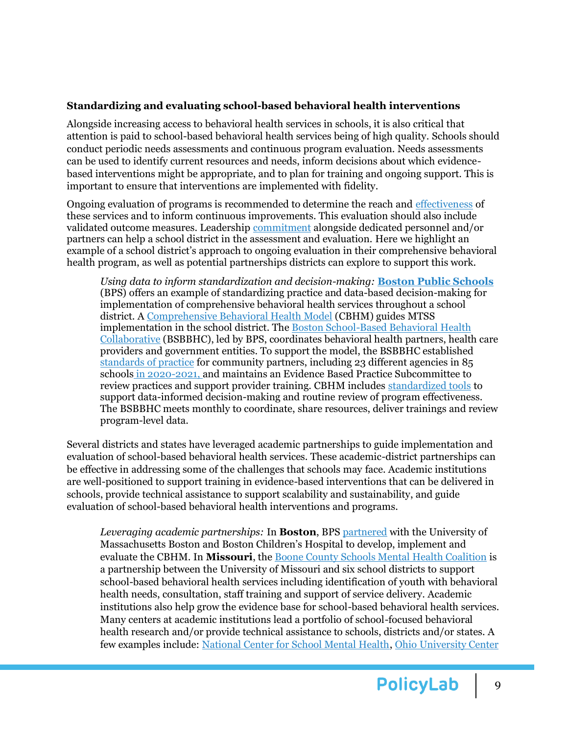# **Standardizing and evaluating school-based behavioral health interventions**

Alongside increasing access to behavioral health services in schools, it is also critical that attention is paid to school-based behavioral health services being of high quality. Schools should conduct periodic needs assessments and continuous program evaluation. Needs assessments can be used to identify current resources and needs, inform decisions about which evidencebased interventions might be appropriate, and to plan for training and ongoing support. This is important to ensure that interventions are implemented with fidelity.

Ongoing evaluation of programs is recommended to determine the reach and [effectiveness](https://www.sciencedirect.com/science/article/pii/S0890856717319263) of these services and to inform continuous improvements. This evaluation should also include validated outcome measures. Leadership [commitment](https://downloads.aap.org/dochw/dshp/Supporting_Mental_Health_in_Schools_Final_Report-June_2021.pdf) alongside dedicated personnel and/or partners can help a school district in the assessment and evaluation. Here we highlight an example of a school district's approach to ongoing evaluation in their comprehensive behavioral health program, as well as potential partnerships districts can explore to support this work.

*Using data to inform standardization and decision-making:* **[Boston Public Schools](https://www.bostonpublicschools.org/behavioral-health)** (BPS) offers an example of standardizing practice and data-based decision-making for implementation of comprehensive behavioral health services throughout a school district. A [Comprehensive Behavioral Health Model](https://cbhmboston.com/what-is-cbhm%3F) (CBHM) guides MTSS implementation in the school district. The [Boston School-Based Behavioral Health](https://cbhmboston.com/the-collaborative)  [Collaborative](https://cbhmboston.com/the-collaborative) (BSBBHC), led by BPS, coordinates behavioral health partners, health care providers and government entities. To support the model, the BSBBHC established [standards of practice](https://docs.google.com/document/d/1GSmlMa7wPATP4WRejWbRHua2cpzK9ezNn2VZXWqHf8w/edit#heading=h.dmmbinx79bpl) for community partners, including 23 different agencies in 85 schools in 2020-2021, and maintains an Evidence Based Practice Subcommittee to review practices and support provider training. CBHM includes [standardized tools](https://www.renniecenter.org/sites/default/files/2019-06/A%20Supportive%20School%20for%20Every%20Student%20-%20How%20Massachusetts%20Districts%20are%20Bringing%20Social%2C%20Emotional%2C%20and%20Behavioral%20Health%20Supports%20to%20Schools%20and%20Classrooms.pdf) to support data-informed decision-making and routine review of program effectiveness. The BSBBHC meets monthly to coordinate, share resources, deliver trainings and review program-level data.

Several districts and states have leveraged academic partnerships to guide implementation and evaluation of school-based behavioral health services. These academic-district partnerships can be effective in addressing some of the challenges that schools may face. Academic institutions are well-positioned to support training in evidence-based interventions that can be delivered in schools, provide technical assistance to support scalability and sustainability, and guide evaluation of school-based behavioral health interventions and programs.

*Leveraging academic partnerships:* In **Boston**, BPS [partnered](https://www.childrenshospital.org/umass-boston) with the University of Massachusetts Boston and Boston Children's Hospital to develop, implement and evaluate the CBHM. In **Missouri**, the [Boone County Schools Mental Health Coalition](http://bcschoolsmh.org/) is a partnership between the University of Missouri and six school districts to support school-based behavioral health services including identification of youth with behavioral health needs, consultation, staff training and support of service delivery. Academic institutions also help grow the evidence base for school-based behavioral health services. Many centers at academic institutions lead a portfolio of school-focused behavioral health research and/or provide technical assistance to schools, districts and/or states. A few examples include: [National Center for School Mental Health,](https://www.schoolmentalhealth.org/) [Ohio University Center](https://oucirs.org/)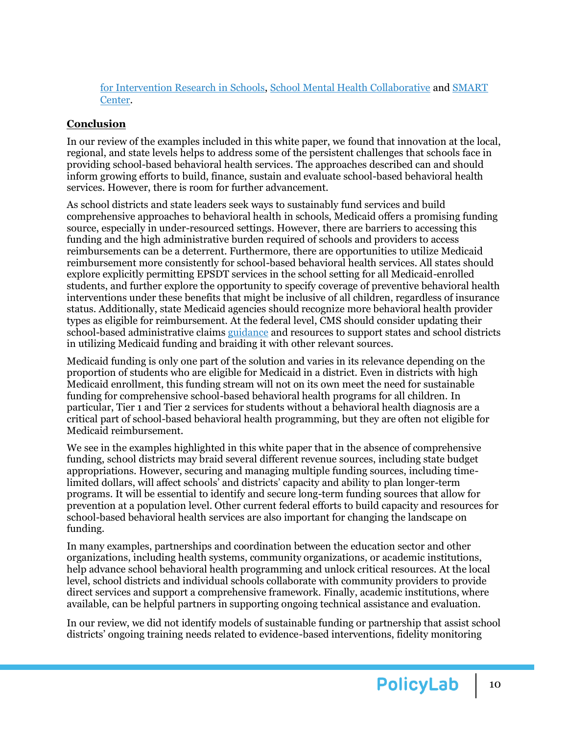[for Intervention Research in Schools,](https://oucirs.org/) [School Mental Health Collaborative](https://smhcollaborative.org/) an[d SMART](https://smartcenter.uw.edu/)  [Center.](https://smartcenter.uw.edu/)

# **Conclusion**

In our review of the examples included in this white paper, we found that innovation at the local, regional, and state levels helps to address some of the persistent challenges that schools face in providing school-based behavioral health services. The approaches described can and should inform growing efforts to build, finance, sustain and evaluate school-based behavioral health services. However, there is room for further advancement.

As school districts and state leaders seek ways to sustainably fund services and build comprehensive approaches to behavioral health in schools, Medicaid offers a promising funding source, especially in under-resourced settings. However, there are barriers to accessing this funding and the high administrative burden required of schools and providers to access reimbursements can be a deterrent. Furthermore, there are opportunities to utilize Medicaid reimbursement more consistently for school-based behavioral health services. All states should explore explicitly permitting EPSDT services in the school setting for all Medicaid-enrolled students, and further explore the opportunity to specify coverage of preventive behavioral health interventions under these benefits that might be inclusive of all children, regardless of insurance status. Additionally, state Medicaid agencies should recognize more behavioral health provider types as eligible for reimbursement. At the federal level, CMS should consider updating their school-based administrative claim[s guidance](https://www.hhs.gov/guidance/document/2003-school-based-administrative-claiming-guidance) and resources to support states and school districts in utilizing Medicaid funding and braiding it with other relevant sources.

Medicaid funding is only one part of the solution and varies in its relevance depending on the proportion of students who are eligible for Medicaid in a district. Even in districts with high Medicaid enrollment, this funding stream will not on its own meet the need for sustainable funding for comprehensive school-based behavioral health programs for all children. In particular, Tier 1 and Tier 2 services for students without a behavioral health diagnosis are a critical part of school-based behavioral health programming, but they are often not eligible for Medicaid reimbursement.

We see in the examples highlighted in this white paper that in the absence of comprehensive funding, school districts may braid several different revenue sources, including state budget appropriations. However, securing and managing multiple funding sources, including timelimited dollars, will affect schools' and districts' capacity and ability to plan longer-term programs. It will be essential to identify and secure long-term funding sources that allow for prevention at a population level. Other current federal efforts to build capacity and resources for school-based behavioral health services are also important for changing the landscape on funding.

In many examples, partnerships and coordination between the education sector and other organizations, including health systems, community organizations, or academic institutions, help advance school behavioral health programming and unlock critical resources. At the local level, school districts and individual schools collaborate with community providers to provide direct services and support a comprehensive framework. Finally, academic institutions, where available, can be helpful partners in supporting ongoing technical assistance and evaluation.

In our review, we did not identify models of sustainable funding or partnership that assist school districts' ongoing training needs related to evidence-based interventions, fidelity monitoring